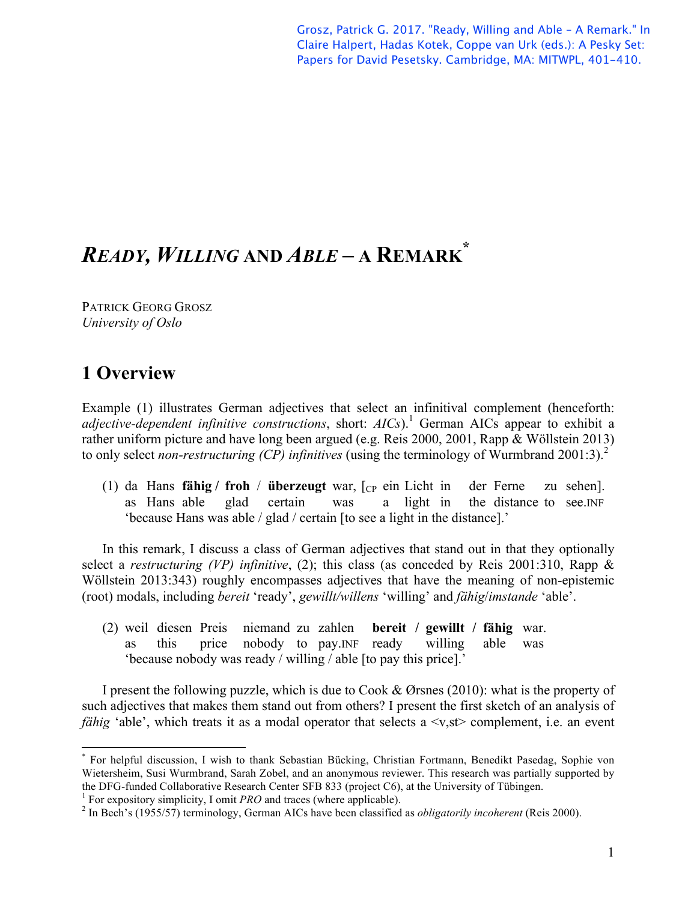Grosz, Patrick G. 2017. "Ready, Willing and Able – A Remark." In Claire Halpert, Hadas Kotek, Coppe van Urk (eds.): A Pesky Set: Papers for David Pesetsky. Cambridge, MA: MITWPL, 401-410.

# *READY, WILLING* **AND** *ABLE* **– A REMARK \***

PATRICK GEORG GROSZ *University of Oslo*

## **1 Overview**

Example (1) illustrates German adjectives that select an infinitival complement (henceforth: *adjective-dependent infinitive constructions*, short: *AICs*). <sup>1</sup> German AICs appear to exhibit a rather uniform picture and have long been argued (e.g. Reis 2000, 2001, Rapp & Wöllstein 2013) to only select *non-restructuring (CP) infinitives* (using the terminology of Wurmbrand 2001:3). 2

(1) da Hans **fähig / froh** / **überzeugt** war, [CP ein Licht in der Ferne zu sehen]. as Hans able glad certain was a light in the distance to see.INF 'because Hans was able / glad / certain [to see a light in the distance].'

In this remark, I discuss a class of German adjectives that stand out in that they optionally select a *restructuring (VP) infinitive*, (2); this class (as conceded by Reis 2001:310, Rapp & Wöllstein 2013:343) roughly encompasses adjectives that have the meaning of non-epistemic (root) modals, including *bereit* 'ready', *gewillt/willens* 'willing' and *fähig*/*imstande* 'able'.

(2) weil diesen Preis niemand zu zahlen **bereit / gewillt / fähig** war. as this price nobody to pay.INF ready willing able was 'because nobody was ready / willing / able [to pay this price].'

I present the following puzzle, which is due to Cook & Ørsnes (2010): what is the property of such adjectives that makes them stand out from others? I present the first sketch of an analysis of *fähig* 'able', which treats it as a modal operator that selects a  $\langle v, st \rangle$  complement, i.e. an event

 <sup>\*</sup> For helpful discussion, I wish to thank Sebastian Bücking, Christian Fortmann, Benedikt Pasedag, Sophie von Wietersheim, Susi Wurmbrand, Sarah Zobel, and an anonymous reviewer. This research was partially supported by the DFG-funded Collaborative Research Center SFB 833 (project C6), at the University of Tübingen.<br><sup>1</sup> For expository simplicity, I omit *PRO* and traces (where applicable).<br><sup>2</sup> In Bech's (1955/57) terminology, German AICs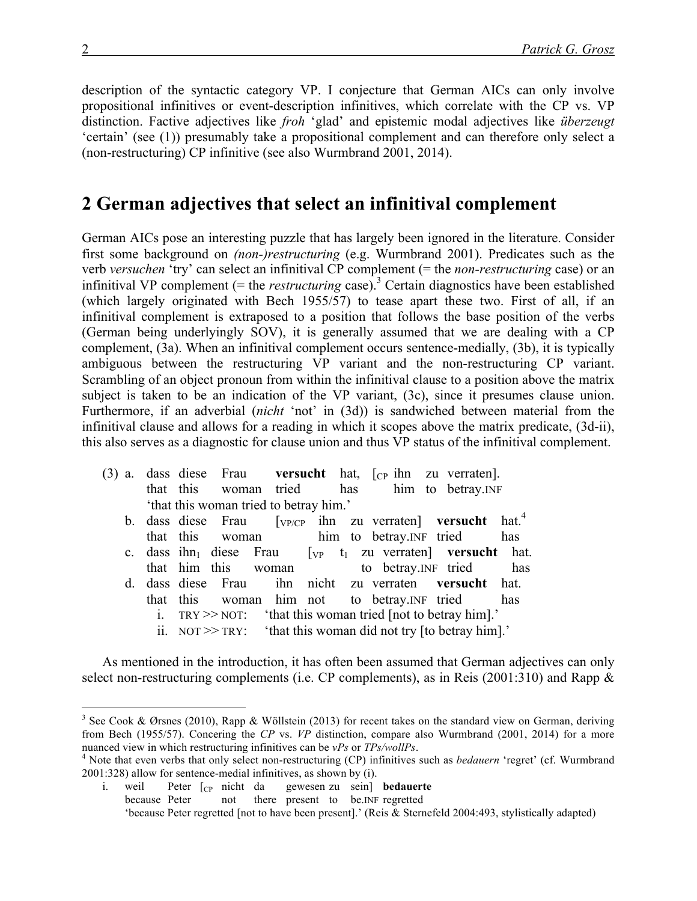description of the syntactic category VP. I conjecture that German AICs can only involve propositional infinitives or event-description infinitives, which correlate with the CP vs. VP distinction. Factive adjectives like *froh* 'glad' and epistemic modal adjectives like *überzeugt* 'certain' (see (1)) presumably take a propositional complement and can therefore only select a (non-restructuring) CP infinitive (see also Wurmbrand 2001, 2014).

### **2 German adjectives that select an infinitival complement**

German AICs pose an interesting puzzle that has largely been ignored in the literature. Consider first some background on *(non-)restructuring* (e.g. Wurmbrand 2001). Predicates such as the verb *versuchen* 'try' can select an infinitival CP complement (= the *non-restructuring* case) or an infinitival VP complement (= the *restructuring* case). <sup>3</sup> Certain diagnostics have been established (which largely originated with Bech 1955/57) to tease apart these two. First of all, if an infinitival complement is extraposed to a position that follows the base position of the verbs (German being underlyingly SOV), it is generally assumed that we are dealing with a CP complement, (3a). When an infinitival complement occurs sentence-medially, (3b), it is typically ambiguous between the restructuring VP variant and the non-restructuring CP variant. Scrambling of an object pronoun from within the infinitival clause to a position above the matrix subject is taken to be an indication of the VP variant, (3c), since it presumes clause union. Furthermore, if an adverbial *(nicht* 'not' in (3d)) is sandwiched between material from the infinitival clause and allows for a reading in which it scopes above the matrix predicate, (3d-ii), this also serves as a diagnostic for clause union and thus VP status of the infinitival complement.

|  |                                        |  |  | $(3)$ a. dass diese Frau versucht hat, $[CP In]$ range verraten.              |  |
|--|----------------------------------------|--|--|-------------------------------------------------------------------------------|--|
|  |                                        |  |  | that this woman tried has him to betray. INF                                  |  |
|  | 'that this woman tried to betray him.' |  |  |                                                                               |  |
|  |                                        |  |  | b. dass diese Frau $[\text{vp/CP}$ ihn zu verraten versucht hat. <sup>4</sup> |  |
|  |                                        |  |  | that this woman him to betray. INF tried has                                  |  |
|  |                                        |  |  | c. dass ihn diese Frau $\lceil v_P \rceil t_1$ zu verraten versucht hat.      |  |
|  |                                        |  |  | that him this woman to be tray INF tried has                                  |  |
|  |                                        |  |  | d. dass diese Frau ihn nicht zu verraten versucht hat.                        |  |
|  |                                        |  |  | that this woman him not to betray. INF tried has                              |  |
|  |                                        |  |  | i. $TRY \gg NOT$ : 'that this woman tried [not to betray him].'               |  |
|  |                                        |  |  | ii. NOT $\gg$ TRY: 'that this woman did not try [to betray him].'             |  |

As mentioned in the introduction, it has often been assumed that German adjectives can only select non-restructuring complements (i.e. CP complements), as in Reis (2001:310) and Rapp &

<sup>&</sup>lt;sup>3</sup> See Cook & Ørsnes (2010), Rapp & Wöllstein (2013) for recent takes on the standard view on German, deriving from Bech (1955/57). Concering the *CP* vs. *VP* distinction, compare also Wurmbrand (2001, 2014) for a more nuanced view in which restructuring infinitives can be *vPs* or *TPs/wollPs*.<br><sup>4</sup> Note that even verbs that only select non-restructuring (CP) infinitives such as *bedauern* 'regret' (cf. Wurmbrand

<sup>2001:328)</sup> allow for sentence-medial infinitives, as shown by (i).

i. weil Peter [<sub>CP</sub> nicht da gewesen zu sein] **bedauerte** because Peter not there present to be.INF regretted 'because Peter regretted [not to have been present].' (Reis & Sternefeld 2004:493, stylistically adapted)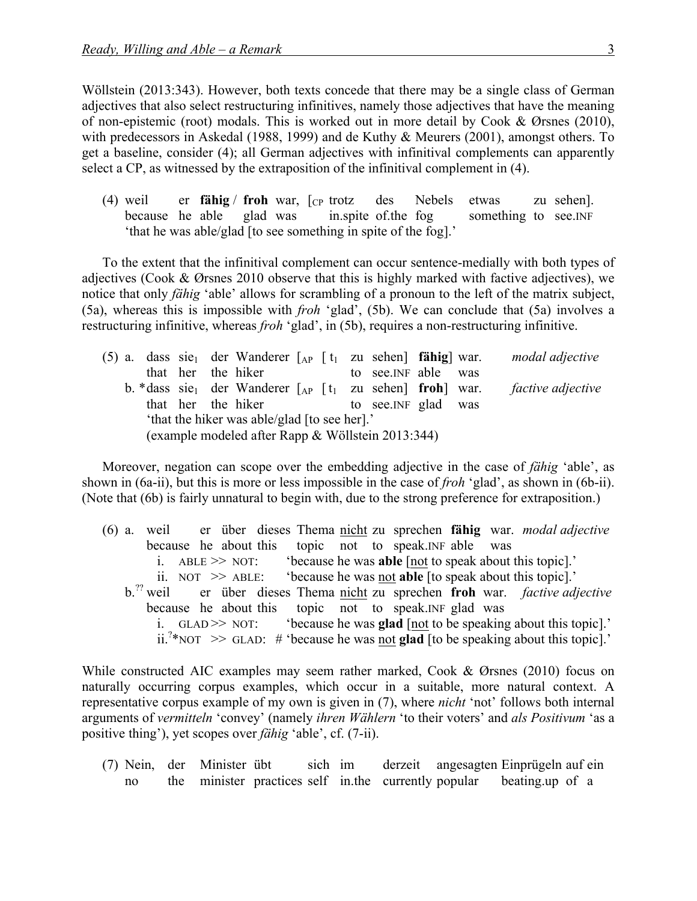Wöllstein (2013:343). However, both texts concede that there may be a single class of German adjectives that also select restructuring infinitives, namely those adjectives that have the meaning of non-epistemic (root) modals. This is worked out in more detail by Cook & Ørsnes (2010), with predecessors in Askedal (1988, 1999) and de Kuthy & Meurers (2001), amongst others. To get a baseline, consider (4); all German adjectives with infinitival complements can apparently select a CP, as witnessed by the extraposition of the infinitival complement in (4).

(4) weil er **fähig** / **froh** war, [CP trotz des Nebels etwas zu sehen]. because he able glad was in.spite of.the fog something to see.INF 'that he was able/glad [to see something in spite of the fog].'

To the extent that the infinitival complement can occur sentence-medially with both types of adjectives (Cook & Ørsnes 2010 observe that this is highly marked with factive adjectives), we notice that only *fähig* 'able' allows for scrambling of a pronoun to the left of the matrix subject, (5a), whereas this is impossible with *froh* 'glad', (5b). We can conclude that (5a) involves a restructuring infinitive, whereas *froh* 'glad', in (5b), requires a non-restructuring infinitive.

|                                                   |  |  |  | (5) a. dass sie <sub>l</sub> der Wanderer $\begin{bmatrix} A_P & I_1 \end{bmatrix}$ zu sehen <b>fähig</b> war. |  |  |  |                      |  |  | modal adjective          |
|---------------------------------------------------|--|--|--|----------------------------------------------------------------------------------------------------------------|--|--|--|----------------------|--|--|--------------------------|
|                                                   |  |  |  | that her the hiker                                                                                             |  |  |  | to see. INF able was |  |  |                          |
|                                                   |  |  |  | b. *dass sie <sub>1</sub> der Wanderer $\begin{bmatrix} A_P & I_1 \\ Z_1 & Z_2 \end{bmatrix}$ sehen from war.  |  |  |  |                      |  |  | <i>factive adjective</i> |
|                                                   |  |  |  | that her the hiker                                                                                             |  |  |  | to see. INF glad was |  |  |                          |
| 'that the hiker was able/glad [to see her].'      |  |  |  |                                                                                                                |  |  |  |                      |  |  |                          |
| (example modeled after Rapp & Wöllstein 2013:344) |  |  |  |                                                                                                                |  |  |  |                      |  |  |                          |

Moreover, negation can scope over the embedding adjective in the case of *fähig* 'able', as shown in (6a-ii), but this is more or less impossible in the case of *froh* 'glad', as shown in (6b-ii). (Note that (6b) is fairly unnatural to begin with, due to the strong preference for extraposition.)

(6) a. weil er über dieses Thema nicht zu sprechen **fähig** war. *modal adjective* because he about this topic not to speak.INF able was i. ABLE >> NOT: 'because he was **able** [not to speak about this topic].' ii. NOT  $\gg$  ABLE: 'because he was <u>not</u> **able** [to speak about this topic].'<br>b.<sup>27</sup> weil er über dieses Thema nicht zu sprechen **froh** war. *factive adj* b.?? weil er über dieses Thema nicht zu sprechen **froh** war. *factive adjective* because he about this topic not to speak.INF glad was i. GLAD >> NOT: 'because he was **glad** [not to be speaking about this topic].' ii.<sup>?\*</sup>NOT >> GLAD: # 'because he was not **glad** [to be speaking about this topic].'

While constructed AIC examples may seem rather marked, Cook & Ørsnes (2010) focus on naturally occurring corpus examples, which occur in a suitable, more natural context. A representative corpus example of my own is given in (7), where *nicht* 'not' follows both internal arguments of *vermitteln* 'convey' (namely *ihren Wählern* 'to their voters' and *als Positivum* 'as a positive thing'), yet scopes over *fähig* 'able', cf. (7-ii).

(7) Nein, der Minister übt sich im derzeit angesagten Einprügeln auf ein no the minister practices self in.the currently popular beating.up of a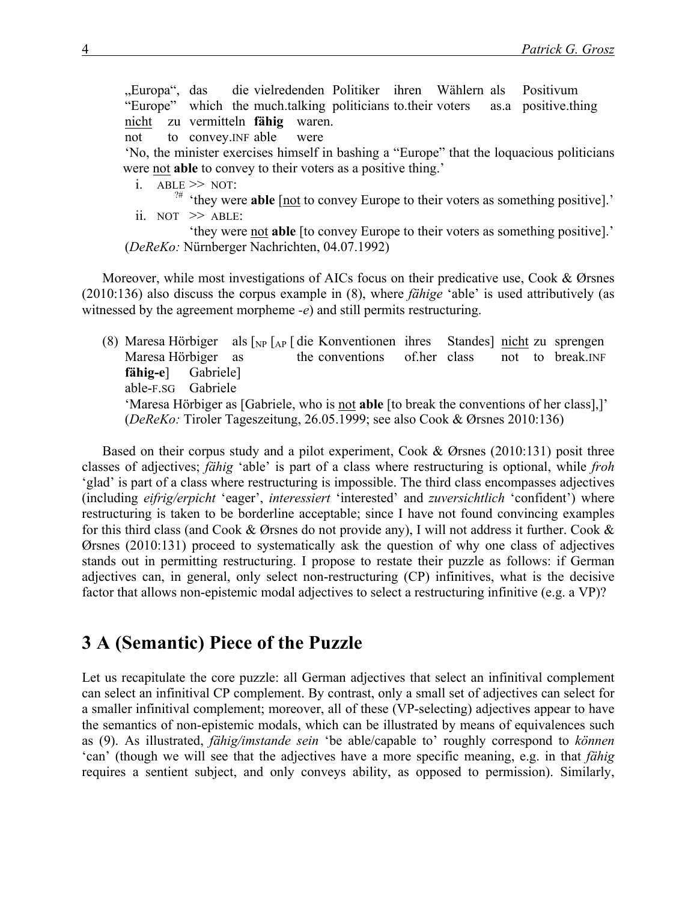"Europa", das die vielredenden Politiker ihren Wählern als Positivum "Europe" which the much.talking politicians to.their voters as.a positive.thing nicht zu vermitteln **fähig** waren.

not to convey.INF able were

'No, the minister exercises himself in bashing a "Europe" that the loquacious politicians were not **able** to convey to their voters as a positive thing.'

i.  $ABLE \geq > NOT$ :

 ?# 'they were **able** [not to convey Europe to their voters as something positive].'  $ii. NOT \geq ABLE$ :

'they were not **able** [to convey Europe to their voters as something positive].' (*DeReKo:* Nürnberger Nachrichten, 04.07.1992)

Moreover, while most investigations of AICs focus on their predicative use, Cook & Ørsnes (2010:136) also discuss the corpus example in (8), where *fähige* 'able' is used attributively (as witnessed by the agreement morpheme *-e*) and still permits restructuring.

(8) Maresa Hörbiger als  $\begin{bmatrix} NP \end{bmatrix}$  als  $\begin{bmatrix} NP \end{bmatrix}$  alse Konventionen ihres Standes] nicht zu sprengen Maresa Hörbiger as the conventions of her class not to break.INF **fähig-e**] Gabriele] able-F.SG Gabriele 'Maresa Hörbiger as [Gabriele, who is not **able** [to break the conventions of her class],]' (*DeReKo:* Tiroler Tageszeitung, 26.05.1999; see also Cook & Ørsnes 2010:136)

Based on their corpus study and a pilot experiment, Cook & Ørsnes (2010:131) posit three classes of adjectives; *fähig* 'able' is part of a class where restructuring is optional, while *froh*  'glad' is part of a class where restructuring is impossible. The third class encompasses adjectives (including *eifrig/erpicht* 'eager', *interessiert* 'interested' and *zuversichtlich* 'confident') where restructuring is taken to be borderline acceptable; since I have not found convincing examples for this third class (and Cook & Ørsnes do not provide any), I will not address it further. Cook & Ørsnes (2010:131) proceed to systematically ask the question of why one class of adjectives stands out in permitting restructuring. I propose to restate their puzzle as follows: if German adjectives can, in general, only select non-restructuring (CP) infinitives, what is the decisive factor that allows non-epistemic modal adjectives to select a restructuring infinitive (e.g. a VP)?

#### **3 A (Semantic) Piece of the Puzzle**

Let us recapitulate the core puzzle: all German adjectives that select an infinitival complement can select an infinitival CP complement. By contrast, only a small set of adjectives can select for a smaller infinitival complement; moreover, all of these (VP-selecting) adjectives appear to have the semantics of non-epistemic modals, which can be illustrated by means of equivalences such as (9). As illustrated, *fähig/imstande sein* 'be able/capable to' roughly correspond to *können*  'can' (though we will see that the adjectives have a more specific meaning, e.g. in that *fähig* requires a sentient subject, and only conveys ability, as opposed to permission). Similarly,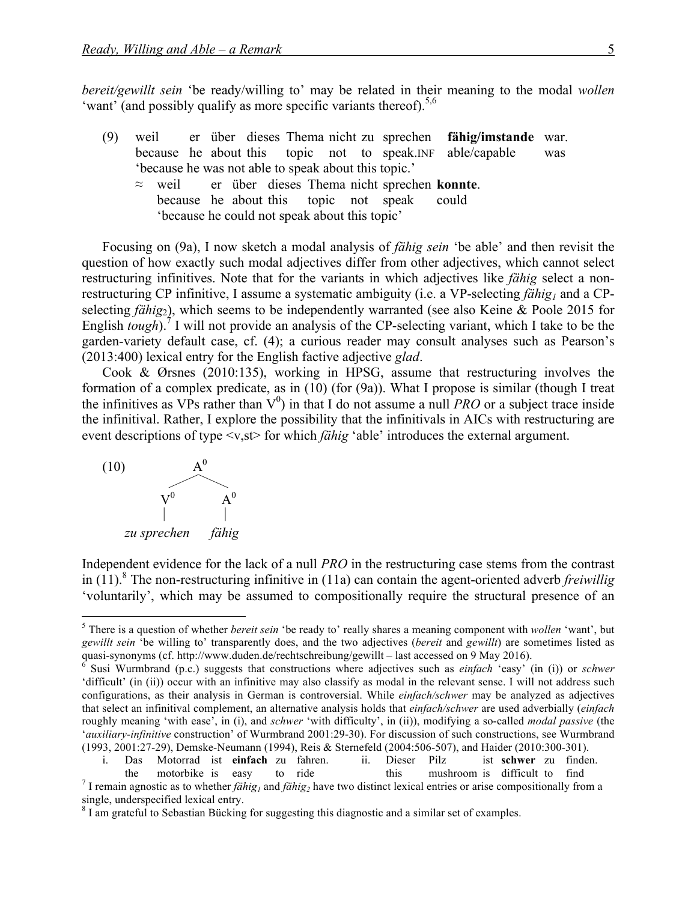*bereit/gewillt sein* 'be ready/willing to' may be related in their meaning to the modal *wollen*  'want' (and possibly qualify as more specific variants thereof).<sup>5,6</sup>

- (9) weil er über dieses Thema nicht zu sprechen **fähig/imstande** war. because he about this topic not to speak.INF able/capable was 'because he was not able to speak about this topic.'
	- ≈ weil er über dieses Thema nicht sprechen **konnte**. because he about this topic not speak could 'because he could not speak about this topic'

Focusing on (9a), I now sketch a modal analysis of *fähig sein* 'be able' and then revisit the question of how exactly such modal adjectives differ from other adjectives, which cannot select restructuring infinitives. Note that for the variants in which adjectives like *fähig* select a nonrestructuring CP infinitive, I assume a systematic ambiguity (i.e. a VP-selecting *fähig<sub>1</sub>* and a CPselecting *fähig*2), which seems to be independently warranted (see also Keine & Poole 2015 for English *tough*).<sup>7</sup> I will not provide an analysis of the CP-selecting variant, which I take to be the garden-variety default case, cf. (4); a curious reader may consult analyses such as Pearson's (2013:400) lexical entry for the English factive adjective *glad*.

Cook & Ørsnes (2010:135), working in HPSG, assume that restructuring involves the formation of a complex predicate, as in (10) (for (9a)). What I propose is similar (though I treat the infinitives as VPs rather than  $V^0$ ) in that I do not assume a null *PRO* or a subject trace inside the infinitival. Rather, I explore the possibility that the infinitivals in AICs with restructuring are event descriptions of type  $\langle v, st \rangle$  for which *fähig* 'able' introduces the external argument.



Independent evidence for the lack of a null *PRO* in the restructuring case stems from the contrast in (11).8 The non-restructuring infinitive in (11a) can contain the agent-oriented adverb *freiwillig* 'voluntarily', which may be assumed to compositionally require the structural presence of an

 <sup>5</sup> There is a question of whether *bereit sein* 'be ready to' really shares a meaning component with *wollen* 'want', but *gewillt sein* 'be willing to' transparently does, and the two adjectives (*bereit* and *gewillt*) are sometimes listed as quasi-synonyms (cf. http://www.duden.de/rechtschreibung/gewillt – last accessed on 9 May 2016). <sup>6</sup> Susi Wurmbrand (p.c.) suggests that constructions where adjectives such as *einfach* 'easy' (in (i)) or *schwer* 

<sup>&#</sup>x27;difficult' (in (ii)) occur with an infinitive may also classify as modal in the relevant sense. I will not address such configurations, as their analysis in German is controversial. While *einfach/schwer* may be analyzed as adjectives that select an infinitival complement, an alternative analysis holds that *einfach/schwer* are used adverbially (*einfach* roughly meaning 'with ease', in (i), and *schwer* 'with difficulty', in (ii)), modifying a so-called *modal passive* (the '*auxiliary-infinitive* construction' of Wurmbrand 2001:29-30). For discussion of such constructions, see Wurmbrand (1993, 2001:27-29), Demske-Neumann (1994), Reis & Sternefeld (2004:506-507), and Haider (2010:300-301).

i. Das Motorrad ist **einfach** zu fahren. ii. Dieser Pilz ist **schwer** zu finden. the motorbike is easy to ride this mushroom is difficult to find<br><sup>7</sup> I remain agnostic as to whether *fähig<sub>1</sub>* and *fähig<sub>2</sub>* have two distinct lexical entries or arise compositionally from a single, underspecified lexical entry.

<sup>&</sup>lt;sup>8</sup> I am grateful to Sebastian Bücking for suggesting this diagnostic and a similar set of examples.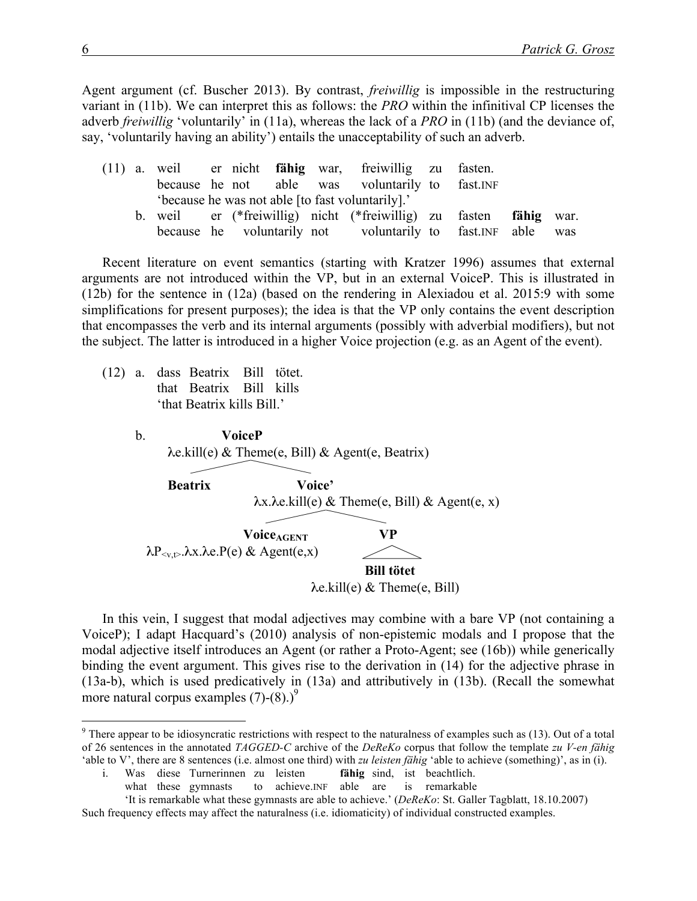Agent argument (cf. Buscher 2013). By contrast, *freiwillig* is impossible in the restructuring variant in (11b). We can interpret this as follows: the *PRO* within the infinitival CP licenses the adverb *freiwillig* 'voluntarily' in (11a), whereas the lack of a *PRO* in (11b) (and the deviance of, say, 'voluntarily having an ability') entails the unacceptability of such an adverb.

|  |  |  | (11) a. weil er nicht <b>fähig</b> war, freiwillig zu fasten.            |  |  |
|--|--|--|--------------------------------------------------------------------------|--|--|
|  |  |  | because he not able was voluntarily to fast. INF                         |  |  |
|  |  |  | 'because he was not able [to fast voluntarily].'                         |  |  |
|  |  |  | b. weil er (*freiwillig) nicht (*freiwillig) zu fasten <b>fähig</b> war. |  |  |
|  |  |  | because he voluntarily not voluntarily to fast. INF able was             |  |  |

Recent literature on event semantics (starting with Kratzer 1996) assumes that external arguments are not introduced within the VP, but in an external VoiceP. This is illustrated in (12b) for the sentence in (12a) (based on the rendering in Alexiadou et al. 2015:9 with some simplifications for present purposes); the idea is that the VP only contains the event description that encompasses the verb and its internal arguments (possibly with adverbial modifiers), but not the subject. The latter is introduced in a higher Voice projection (e.g. as an Agent of the event).

(12) a. dass Beatrix Bill tötet. that Beatrix Bill kills 'that Beatrix kills Bill.'



In this vein, I suggest that modal adjectives may combine with a bare VP (not containing a VoiceP); I adapt Hacquard's (2010) analysis of non-epistemic modals and I propose that the modal adjective itself introduces an Agent (or rather a Proto-Agent; see (16b)) while generically binding the event argument. This gives rise to the derivation in (14) for the adjective phrase in (13a-b), which is used predicatively in (13a) and attributively in (13b). (Recall the somewhat more natural corpus examples  $(7)-(8)$ .)<sup>9</sup>

 $9$  There appear to be idiosyncratic restrictions with respect to the naturalness of examples such as (13). Out of a total of 26 sentences in the annotated *TAGGED-C* archive of the *DeReKo* corpus that follow the template *zu V-en fähig*  'able to V', there are 8 sentences (i.e. almost one third) with *zu leisten fähig* 'able to achieve (something)', as in (i).

i. Was diese Turnerinnen zu leisten **fähig** sind, ist beachtlich.

what these gymnasts to achieve. INF able are is remarkable

<sup>&#</sup>x27;It is remarkable what these gymnasts are able to achieve.' (*DeReKo*: St. Galler Tagblatt, 18.10.2007) Such frequency effects may affect the naturalness (i.e. idiomaticity) of individual constructed examples.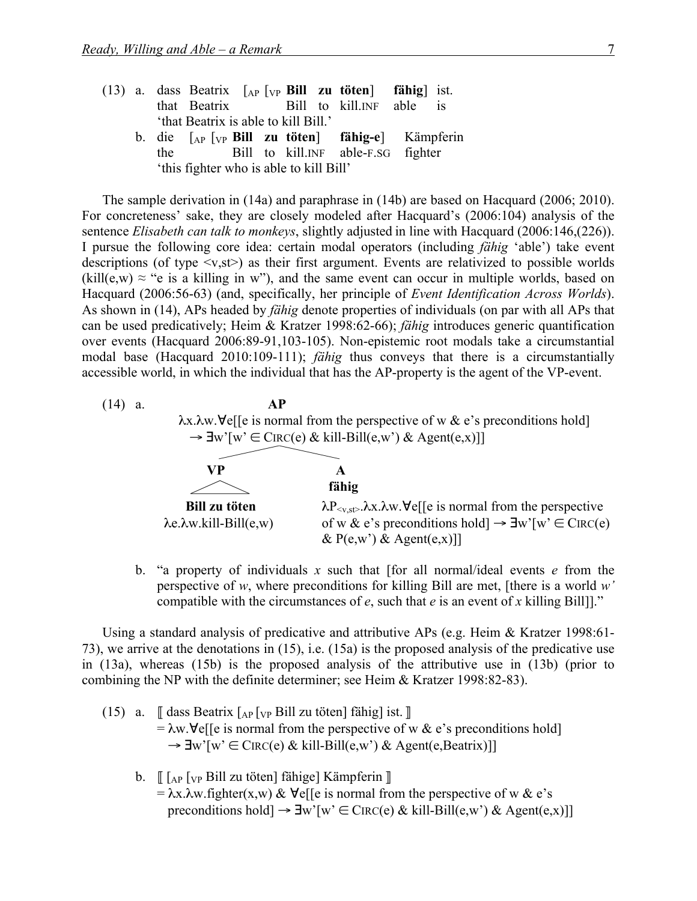|  |     |                                         |  |  | (13) a. dass Beatrix $\lceil_{AP} \rceil_{VP}$ Bill zu töten fähig ist.                               |  |
|--|-----|-----------------------------------------|--|--|-------------------------------------------------------------------------------------------------------|--|
|  |     |                                         |  |  | that Beatrix Bill to kill. INF able is                                                                |  |
|  |     | 'that Beatrix is able to kill Bill.'    |  |  |                                                                                                       |  |
|  |     |                                         |  |  | b. die $\begin{bmatrix} A\ P & I \end{bmatrix}$ [vp <b>Bill zu töten</b> ] <b>fähig-e</b> ] Kämpferin |  |
|  | the |                                         |  |  | Bill to kill. INF able-F.SG fighter                                                                   |  |
|  |     | 'this fighter who is able to kill Bill' |  |  |                                                                                                       |  |

The sample derivation in (14a) and paraphrase in (14b) are based on Hacquard (2006; 2010). For concreteness' sake, they are closely modeled after Hacquard's (2006:104) analysis of the sentence *Elisabeth can talk to monkeys*, slightly adjusted in line with Hacquard (2006:146,(226)). I pursue the following core idea: certain modal operators (including *fähig* 'able') take event descriptions (of type <v,st>) as their first argument. Events are relativized to possible worlds  $(kill(e,w) \approx$  "e is a killing in w"), and the same event can occur in multiple worlds, based on Hacquard (2006:56-63) (and, specifically, her principle of *Event Identification Across Worlds*). As shown in (14), APs headed by *fähig* denote properties of individuals (on par with all APs that can be used predicatively; Heim & Kratzer 1998:62-66); *fähig* introduces generic quantification over events (Hacquard 2006:89-91,103-105). Non-epistemic root modals take a circumstantial modal base (Hacquard 2010:109-111); *fähig* thus conveys that there is a circumstantially accessible world, in which the individual that has the AP-property is the agent of the VP-event.

| (14)<br>a. | AР                                                                                                  |                                                                                                 |  |  |  |  |  |  |  |
|------------|-----------------------------------------------------------------------------------------------------|-------------------------------------------------------------------------------------------------|--|--|--|--|--|--|--|
|            | $\lambda x. \lambda w. \forall e$ [[e is normal from the perspective of w & e's preconditions hold] |                                                                                                 |  |  |  |  |  |  |  |
|            |                                                                                                     | $\rightarrow \exists w' [w' \in \text{CIRC}(e) \& \text{kill-Bill}(e,w') \& \text{Agent}(e,x)]$ |  |  |  |  |  |  |  |
|            |                                                                                                     |                                                                                                 |  |  |  |  |  |  |  |
|            | VР                                                                                                  | A                                                                                               |  |  |  |  |  |  |  |
|            |                                                                                                     | fähig                                                                                           |  |  |  |  |  |  |  |
|            | Bill zu töten                                                                                       | $\lambda P_{\leq v, st}$ , $\lambda x. \lambda w. \forall e$ [[e is normal from the perspective |  |  |  |  |  |  |  |
|            | $\lambda$ e. $\lambda$ w.kill-Bill $(e, w)$                                                         | of w & e's preconditions hold $\rightarrow \exists w' [w' \in \text{CIRC}(e)$                   |  |  |  |  |  |  |  |
|            |                                                                                                     | & $P(e, w')$ & Agent $(e, x)$ ]                                                                 |  |  |  |  |  |  |  |

b. "a property of individuals *x* such that [for all normal/ideal events *e* from the perspective of *w*, where preconditions for killing Bill are met, [there is a world *w'* compatible with the circumstances of *e*, such that *e* is an event of *x* killing Bill]]."

Using a standard analysis of predicative and attributive APs (e.g. Heim & Kratzer 1998:61- 73), we arrive at the denotations in (15), i.e. (15a) is the proposed analysis of the predicative use in (13a), whereas (15b) is the proposed analysis of the attributive use in (13b) (prior to combining the NP with the definite determiner; see Heim & Kratzer 1998:82-83).

- (15) a.  $\parallel$  dass Beatrix  $\parallel$  are  $\parallel$  and  $\parallel$  and  $\parallel$  and  $\parallel$  and  $\parallel$  and  $\parallel$  and  $\parallel$  and  $\parallel$  and  $\parallel$  and  $\parallel$  and  $\parallel$  and  $\parallel$  and  $\parallel$  and  $\parallel$  and  $\parallel$  and  $\parallel$  and  $\parallel$  and  $\parallel$  and  $\parallel$  and  $\parallel$  and  $\parallel$  a  $= \lambda w. \forall e [e]$  is normal from the perspective of w & e's preconditions hold]  $\rightarrow \exists w'[w' \in \text{CIRC}(e) \& \text{kill-Bill}(e,w') \& \text{Agent}(e,\text{Beatrix})]$ 
	- b.  $\left[\begin{bmatrix} A \end{bmatrix} \begin{bmatrix} v_P \end{bmatrix} \right]$  [ $\left[\begin{bmatrix} a \\ b \end{bmatrix} \right]$  [ $\left[\begin{bmatrix} a \\ b \end{bmatrix} \right]$  [ $\left[\begin{bmatrix} a \\ b \end{bmatrix} \right]$ ] [ $\left[\begin{bmatrix} a \\ b \end{bmatrix} \right]$ ] [ $\left[\begin{bmatrix} a \\ b \end{bmatrix} \right]$ ] [ $\left[\begin{bmatrix} a \\ b \end{bmatrix} \right]$ ] [ $\left[\begin{bmatrix} a \\ b \end{bmatrix} \right]$ ] [ $\left[\begin{bmatrix}$ =  $\lambda x.\lambda w$ . fighter(x,w) &  $\forall e$ [[e is normal from the perspective of w & e's preconditions hold]  $\rightarrow \exists w'[w] \in \text{CIRC}(e) \& \text{kill-Bill}(e,w') \& \text{Agent}(e,x)]$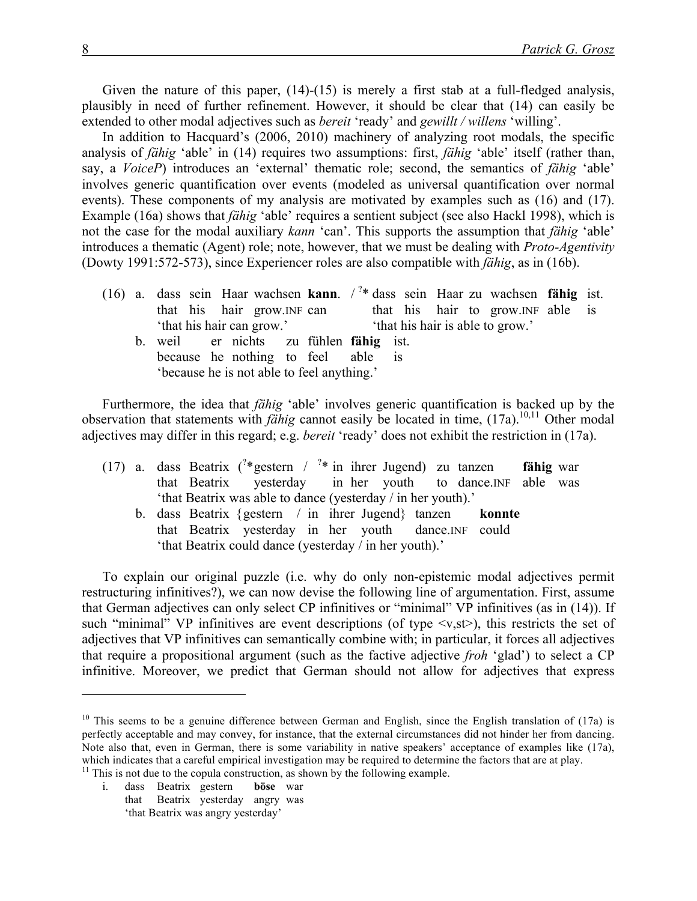Given the nature of this paper,  $(14)-(15)$  is merely a first stab at a full-fledged analysis, plausibly in need of further refinement. However, it should be clear that (14) can easily be extended to other modal adjectives such as *bereit* 'ready' and *gewillt / willens* 'willing'.

In addition to Hacquard's (2006, 2010) machinery of analyzing root modals, the specific analysis of *fähig* 'able' in (14) requires two assumptions: first, *fähig* 'able' itself (rather than, say, a *VoiceP*) introduces an 'external' thematic role; second, the semantics of *fähig* 'able' involves generic quantification over events (modeled as universal quantification over normal events). These components of my analysis are motivated by examples such as (16) and (17). Example (16a) shows that *fähig* 'able' requires a sentient subject (see also Hackl 1998), which is not the case for the modal auxiliary *kann* 'can'. This supports the assumption that *fähig* 'able' introduces a thematic (Agent) role; note, however, that we must be dealing with *Proto-Agentivity*  (Dowty 1991:572-573), since Experiencer roles are also compatible with *fähig*, as in (16b).

|                           |  |  |  |                             |  |                                  |  |  |  | (16) a. dass sein Haar wachsen kann. $\ell^{2*}$ dass sein Haar zu wachsen fähig ist. |  |  |
|---------------------------|--|--|--|-----------------------------|--|----------------------------------|--|--|--|---------------------------------------------------------------------------------------|--|--|
|                           |  |  |  | that his hair grow. INF can |  |                                  |  |  |  | that his hair to grow. INF able is                                                    |  |  |
| 'that his hair can grow.' |  |  |  |                             |  | 'that his hair is able to grow.' |  |  |  |                                                                                       |  |  |

b. weil er nichts zu fühlen **fähig** ist. because he nothing to feel able is 'because he is not able to feel anything.'

Furthermore, the idea that *fähig* 'able' involves generic quantification is backed up by the observation that statements with *fähig* cannot easily be located in time,  $(17a)$ .<sup>10,11</sup> Other modal adjectives may differ in this regard; e.g. *bereit* 'ready' does not exhibit the restriction in (17a).

- (17) a. dass Beatrix ( ? \*gestern / ? \* in ihrer Jugend) zu tanzen **fähig** war that Beatrix yesterday in her youth to dance.INF able was 'that Beatrix was able to dance (yesterday / in her youth).'
	- b. dass Beatrix {gestern / in ihrer Jugend} tanzen **konnte** that Beatrix yesterday in her youth dance.INF could 'that Beatrix could dance (yesterday / in her youth).'

To explain our original puzzle (i.e. why do only non-epistemic modal adjectives permit restructuring infinitives?), we can now devise the following line of argumentation. First, assume that German adjectives can only select CP infinitives or "minimal" VP infinitives (as in (14)). If such "minimal" VP infinitives are event descriptions (of type  $\langle v, st \rangle$ ), this restricts the set of adjectives that VP infinitives can semantically combine with; in particular, it forces all adjectives that require a propositional argument (such as the factive adjective *froh* 'glad') to select a CP infinitive. Moreover, we predict that German should not allow for adjectives that express

i. dass Beatrix gestern **böse** war that Beatrix yesterday angry was 'that Beatrix was angry yesterday'

 $\overline{a}$ 

 $10$  This seems to be a genuine difference between German and English, since the English translation of (17a) is perfectly acceptable and may convey, for instance, that the external circumstances did not hinder her from dancing. Note also that, even in German, there is some variability in native speakers' acceptance of examples like (17a), which indicates that a careful empirical investigation may be required to determine the factors that are at play.<br><sup>11</sup> This is not due to the copula construction, as shown by the following example.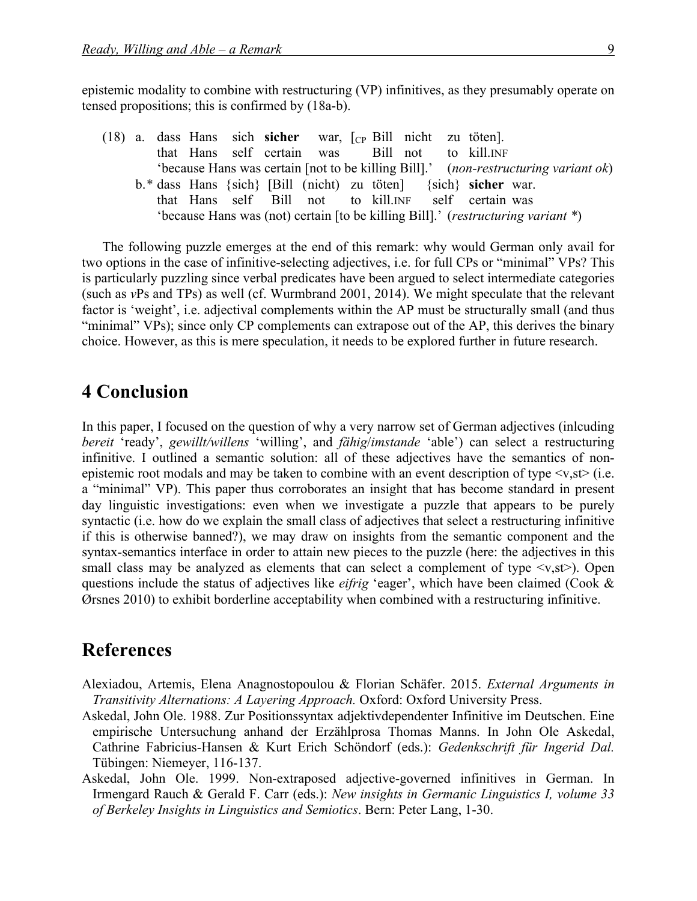epistemic modality to combine with restructuring (VP) infinitives, as they presumably operate on tensed propositions; this is confirmed by (18a-b).

(18) a. dass Hans sich **sicher** war, [CP Bill nicht zu töten]. that Hans self certain was Bill not to kill.INF 'because Hans was certain [not to be killing Bill].' (*non-restructuring variant ok*) b.\* dass Hans {sich} [Bill (nicht) zu töten] {sich} **sicher** war. that Hans self Bill not to kill.INF self certain was 'because Hans was (not) certain [to be killing Bill].' (*restructuring variant \**)

The following puzzle emerges at the end of this remark: why would German only avail for two options in the case of infinitive-selecting adjectives, i.e. for full CPs or "minimal" VPs? This is particularly puzzling since verbal predicates have been argued to select intermediate categories (such as *v*Ps and TPs) as well (cf. Wurmbrand 2001, 2014). We might speculate that the relevant factor is 'weight', i.e. adjectival complements within the AP must be structurally small (and thus "minimal" VPs); since only CP complements can extrapose out of the AP, this derives the binary choice. However, as this is mere speculation, it needs to be explored further in future research.

### **4 Conclusion**

In this paper, I focused on the question of why a very narrow set of German adjectives (inlcuding *bereit* 'ready', *gewillt/willens* 'willing', and *fähig*/*imstande* 'able') can select a restructuring infinitive. I outlined a semantic solution: all of these adjectives have the semantics of nonepistemic root modals and may be taken to combine with an event description of type  $\langle v, st \rangle$  (i.e. a "minimal" VP). This paper thus corroborates an insight that has become standard in present day linguistic investigations: even when we investigate a puzzle that appears to be purely syntactic (i.e. how do we explain the small class of adjectives that select a restructuring infinitive if this is otherwise banned?), we may draw on insights from the semantic component and the syntax-semantics interface in order to attain new pieces to the puzzle (here: the adjectives in this small class may be analyzed as elements that can select a complement of type  $\langle v, st \rangle$ . Open questions include the status of adjectives like *eifrig* 'eager', which have been claimed (Cook & Ørsnes 2010) to exhibit borderline acceptability when combined with a restructuring infinitive.

#### **References**

- Alexiadou, Artemis, Elena Anagnostopoulou & Florian Schäfer. 2015. *External Arguments in Transitivity Alternations: A Layering Approach.* Oxford: Oxford University Press.
- Askedal, John Ole. 1988. Zur Positionssyntax adjektivdependenter Infinitive im Deutschen. Eine empirische Untersuchung anhand der Erzählprosa Thomas Manns. In John Ole Askedal, Cathrine Fabricius-Hansen & Kurt Erich Schöndorf (eds.): *Gedenkschrift für Ingerid Dal.*  Tübingen: Niemeyer, 116-137.
- Askedal, John Ole. 1999. Non-extraposed adjective-governed infinitives in German. In Irmengard Rauch & Gerald F. Carr (eds.): *New insights in Germanic Linguistics I, volume 33 of Berkeley Insights in Linguistics and Semiotics*. Bern: Peter Lang, 1-30.